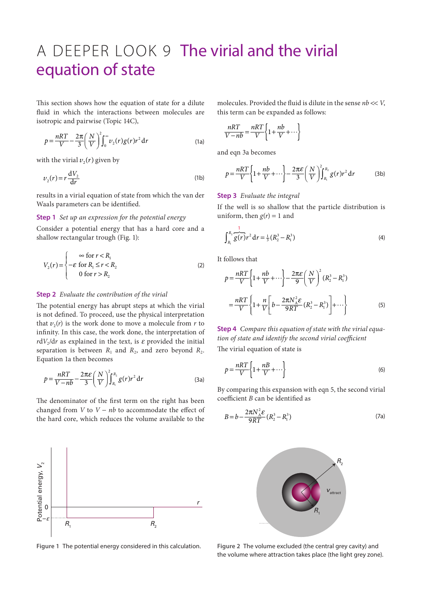## A DEEPER LOOK 9 The virial and the virial equation of state

This section shows how the equation of state for a dilute fluid in which the interactions between molecules are isotropic and pairwise (Topic 14C),

$$
p = \frac{nRT}{V} - \frac{2\pi}{3} \left(\frac{N}{V}\right)^2 \int_0^\infty v_2(r)g(r)r^2 dr
$$
 (1a)

with the virial  $v_2(r)$  given by

$$
v_2(r) = r \frac{\mathrm{d}V_2}{\mathrm{d}r} \tag{1b}
$$

results in a virial equation of state from which the van der Waals parameters can be identified.

## **Step 1** *Set up an expression for the potential energy*

Consider a potential energy that has a hard core and a shallow rectangular trough (Fig. 1):

$$
V_2(r) = \begin{cases} \n\infty & \text{for } r < R_1 \\ \n-\varepsilon & \text{for } R_1 \le r < R_2 \\ \n0 & \text{for } r > R_2 \n\end{cases} \tag{2}
$$

## **Step 2** *Evaluate the contribution of the virial*

The potential energy has abrupt steps at which the virial is not defined. To proceed, use the physical interpretation that  $v_2(r)$  is the work done to move a molecule from *r* to infinity. In this case, the work done, the interpretation of  $r dV_2/dr$  as explained in the text, is  $\varepsilon$  provided the initial separation is between  $R_1$  and  $R_2$ , and zero beyond  $R_2$ . Equation 1a then becomes

$$
p = \frac{nRT}{V - nb} - \frac{2\pi\varepsilon}{3} \left(\frac{N}{V}\right)^2 \int_{R_1}^{R_2} g(r) r^2 dr
$$
 (3a)

The denominator of the first term on the right has been changed from *V* to *V* − *nb* to accommodate the effect of the hard core, which reduces the volume available to the



**Figure 1** The potential energy considered in this calculation.

molecules. Provided the fluid is dilute in the sense *nb* << *V*, this term can be expanded as follows:

$$
\frac{nRT}{V-nb} = \frac{nRT}{V} \left\{ 1 + \frac{nb}{V} + \cdots \right\}
$$

and eqn 3a becomes

$$
p = \frac{nRT}{V} \left\{ 1 + \frac{nb}{V} + \cdots \right\} - \frac{2\pi\varepsilon}{3} \left( \frac{N}{V} \right)^2 \int_{R_1}^{R_2} g(r) r^2 dr \tag{3b}
$$

## **Step 3** *Evaluate the integral*

If the well is so shallow that the particle distribution is uniform, then  $g(r) = 1$  and

$$
\int_{R_1}^{R_2} \overline{g(r)} r^2 dr = \frac{1}{3} (R_2^3 - R_1^3)
$$
 (4)

It follows that

$$
p = \frac{nRT}{V} \left\{ 1 + \frac{nb}{V} + \cdots \right\} - \frac{2\pi \varepsilon}{9} \left( \frac{N}{V} \right)^2 (R_2^3 - R_1^3)
$$

$$
= \frac{nRT}{V} \left\{ 1 + \frac{n}{V} \left[ b - \frac{2\pi N_A^2 \varepsilon}{9RT} (R_2^3 - R_1^3) \right] + \cdots \right\}
$$
(5)

**Step 4** *Compare this equation of state with the virial equation of state and identify the second virial coefficient* The virial equation of state is

 $p = \frac{nRT}{V} \left\{ 1 + \frac{nB}{V} + \cdots \right\}$  $=\frac{nRT}{V}\left\{1+\frac{nB}{V}+\cdots\right\}$  (6)

By comparing this expansion with eqn 5, the second virial coefficient *B* can be identified as

$$
B = b - \frac{2\pi N_A^2 \varepsilon}{9RT} (R_2^3 - R_1^3)
$$
 (7a)



**Figure 2** The volume excluded (the central grey cavity) and the volume where attraction takes place (the light grey zone).